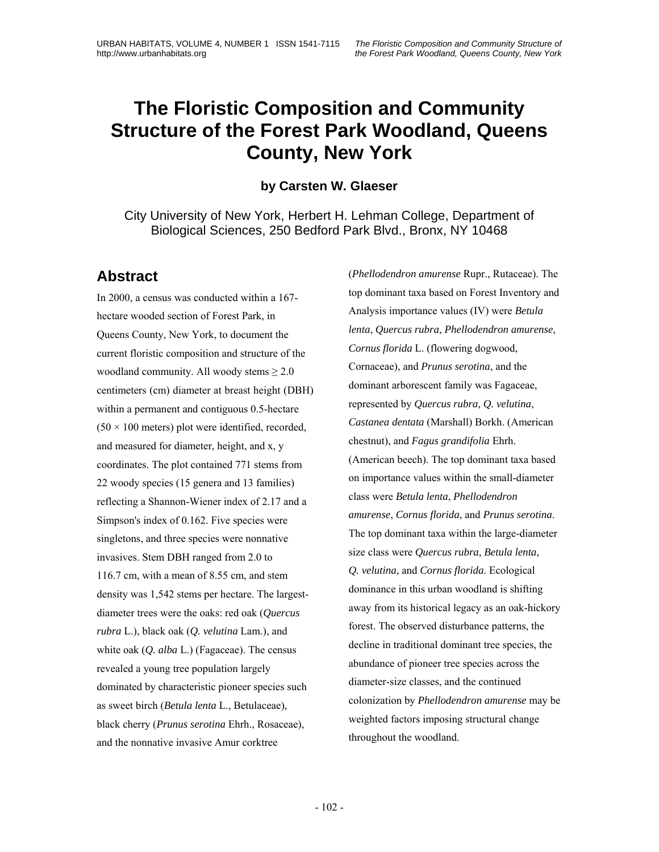#### **by Carsten W. Glaeser**

City University of New York, Herbert H. Lehman College, Department of Biological Sciences, 250 Bedford Park Blvd., Bronx, NY 10468

## **Abstract**

In 2000, a census was conducted within a 167 hectare wooded section of Forest Park, in Queens County, New York, to document the current floristic composition and structure of the woodland community. All woody stems  $\geq 2.0$ centimeters (cm) diameter at breast height (DBH) within a permanent and contiguous 0.5-hectare  $(50 \times 100$  meters) plot were identified, recorded, and measured for diameter, height, and x, y coordinates. The plot contained 771 stems from 22 woody species (15 genera and 13 families) reflecting a Shannon-Wiener index of 2.17 and a Simpson's index of 0.162. Five species were singletons, and three species were nonnative invasives. Stem DBH ranged from 2.0 to 116.7 cm, with a mean of 8.55 cm, and stem density was 1,542 stems per hectare. The largestdiameter trees were the oaks: red oak (*Quercus rubra* L.), black oak (*Q. velutina* Lam.), and white oak (*Q. alba* L.) (Fagaceae). The census revealed a young tree population largely dominated by characteristic pioneer species such as sweet birch (*Betula lenta* L., Betulaceae), black cherry (*Prunus serotina* Ehrh., Rosaceae), and the nonnative invasive Amur corktree

(*Phellodendron amurense* Rupr., Rutaceae). The top dominant taxa based on Forest Inventory and Analysis importance values (IV) were *Betula lenta*, *Quercus rubra*, *Phellodendron amurense*, *Cornus florida* L. (flowering dogwood, Cornaceae), and *Prunus serotina*, and the dominant arborescent family was Fagaceae, represented by *Quercus rubra*, *Q. velutina*, *Castanea dentata* (Marshall) Borkh. (American chestnut), and *Fagus grandifolia* Ehrh. (American beech). The top dominant taxa based on importance values within the small-diameter class were *Betula lenta*, *Phellodendron amurense*, *Cornus florida*, and *Prunus serotina*. The top dominant taxa within the large-diameter size class were *Quercus rubra*, *Betula lenta*, *Q. velutina*, and *Cornus florida*. Ecological dominance in this urban woodland is shifting away from its historical legacy as an oak-hickory forest. The observed disturbance patterns, the decline in traditional dominant tree species, the abundance of pioneer tree species across the diameter-size classes, and the continued colonization by *Phellodendron amurense* may be weighted factors imposing structural change throughout the woodland.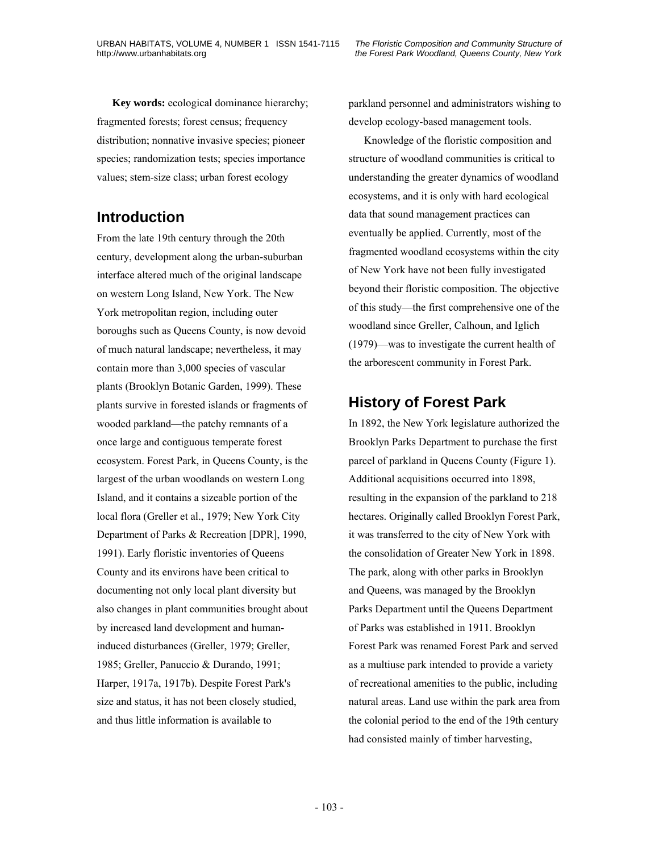**Key words:** ecological dominance hierarchy; fragmented forests; forest census; frequency distribution; nonnative invasive species; pioneer species; randomization tests; species importance values; stem-size class; urban forest ecology

# **Introduction**

From the late 19th century through the 20th century, development along the urban-suburban interface altered much of the original landscape on western Long Island, New York. The New York metropolitan region, including outer boroughs such as Queens County, is now devoid of much natural landscape; nevertheless, it may contain more than 3,000 species of vascular plants (Brooklyn Botanic Garden, 1999). These plants survive in forested islands or fragments of wooded parkland—the patchy remnants of a once large and contiguous temperate forest ecosystem. Forest Park, in Queens County, is the largest of the urban woodlands on western Long Island, and it contains a sizeable portion of the local flora (Greller et al., 1979; New York City Department of Parks & Recreation [DPR], 1990, 1991). Early floristic inventories of Queens County and its environs have been critical to documenting not only local plant diversity but also changes in plant communities brought about by increased land development and humaninduced disturbances (Greller, 1979; Greller, 1985; Greller, Panuccio & Durando, 1991; Harper, 1917a, 1917b). Despite Forest Park's size and status, it has not been closely studied, and thus little information is available to

parkland personnel and administrators wishing to develop ecology-based management tools.

Knowledge of the floristic composition and structure of woodland communities is critical to understanding the greater dynamics of woodland ecosystems, and it is only with hard ecological data that sound management practices can eventually be applied. Currently, most of the fragmented woodland ecosystems within the city of New York have not been fully investigated beyond their floristic composition. The objective of this study—the first comprehensive one of the woodland since Greller, Calhoun, and Iglich (1979)—was to investigate the current health of the arborescent community in Forest Park.

# **History of Forest Park**

In 1892, the New York legislature authorized the Brooklyn Parks Department to purchase the first parcel of parkland in Queens County (Figure 1). Additional acquisitions occurred into 1898, resulting in the expansion of the parkland to 218 hectares. Originally called Brooklyn Forest Park, it was transferred to the city of New York with the consolidation of Greater New York in 1898. The park, along with other parks in Brooklyn and Queens, was managed by the Brooklyn Parks Department until the Queens Department of Parks was established in 1911. Brooklyn Forest Park was renamed Forest Park and served as a multiuse park intended to provide a variety of recreational amenities to the public, including natural areas. Land use within the park area from the colonial period to the end of the 19th century had consisted mainly of timber harvesting,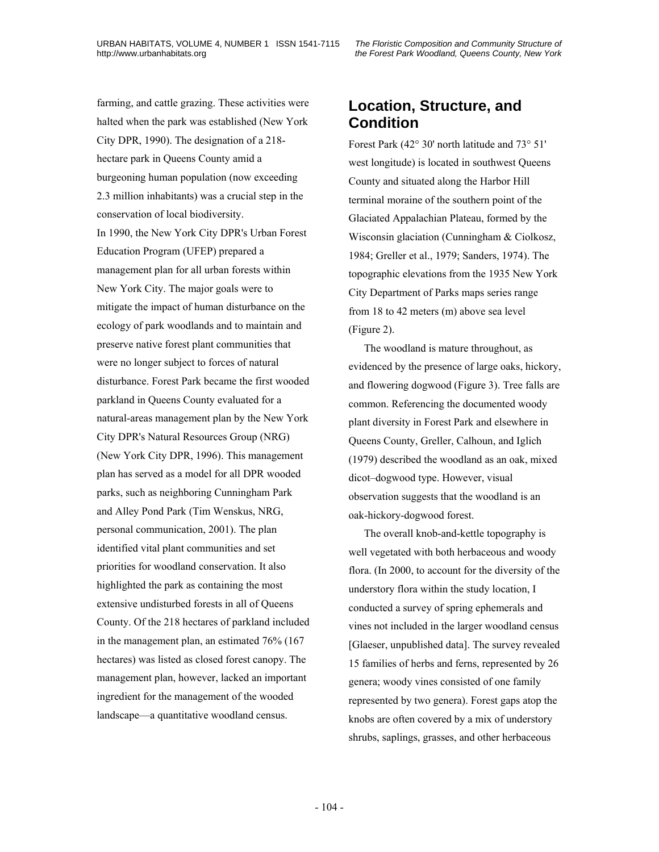farming, and cattle grazing. These activities were halted when the park was established (New York City DPR, 1990). The designation of a 218 hectare park in Queens County amid a burgeoning human population (now exceeding 2.3 million inhabitants) was a crucial step in the conservation of local biodiversity. In 1990, the New York City DPR's Urban Forest Education Program (UFEP) prepared a management plan for all urban forests within New York City. The major goals were to mitigate the impact of human disturbance on the ecology of park woodlands and to maintain and preserve native forest plant communities that were no longer subject to forces of natural disturbance. Forest Park became the first wooded parkland in Queens County evaluated for a natural-areas management plan by the New York City DPR's Natural Resources Group (NRG) (New York City DPR, 1996). This management plan has served as a model for all DPR wooded parks, such as neighboring Cunningham Park and Alley Pond Park (Tim Wenskus, NRG, personal communication, 2001). The plan identified vital plant communities and set priorities for woodland conservation. It also highlighted the park as containing the most extensive undisturbed forests in all of Queens County. Of the 218 hectares of parkland included in the management plan, an estimated 76% (167 hectares) was listed as closed forest canopy. The management plan, however, lacked an important ingredient for the management of the wooded landscape—a quantitative woodland census.

# **Location, Structure, and Condition**

Forest Park (42° 30' north latitude and 73° 51' west longitude) is located in southwest Queens County and situated along the Harbor Hill terminal moraine of the southern point of the Glaciated Appalachian Plateau, formed by the Wisconsin glaciation (Cunningham & Ciolkosz, 1984; Greller et al., 1979; Sanders, 1974). The topographic elevations from the 1935 New York City Department of Parks maps series range from 18 to 42 meters (m) above sea level (Figure 2).

The woodland is mature throughout, as evidenced by the presence of large oaks, hickory, and flowering dogwood (Figure 3). Tree falls are common. Referencing the documented woody plant diversity in Forest Park and elsewhere in Queens County, Greller, Calhoun, and Iglich (1979) described the woodland as an oak, mixed dicot–dogwood type. However, visual observation suggests that the woodland is an oak-hickory-dogwood forest.

The overall knob-and-kettle topography is well vegetated with both herbaceous and woody flora. (In 2000, to account for the diversity of the understory flora within the study location, I conducted a survey of spring ephemerals and vines not included in the larger woodland census [Glaeser, unpublished data]. The survey revealed 15 families of herbs and ferns, represented by 26 genera; woody vines consisted of one family represented by two genera). Forest gaps atop the knobs are often covered by a mix of understory shrubs, saplings, grasses, and other herbaceous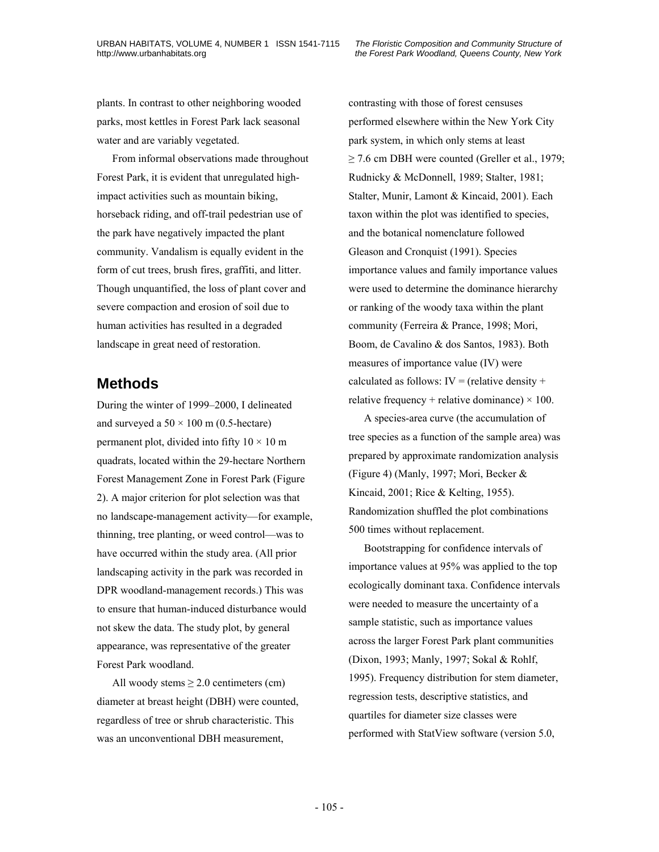plants. In contrast to other neighboring wooded parks, most kettles in Forest Park lack seasonal water and are variably vegetated.

From informal observations made throughout Forest Park, it is evident that unregulated highimpact activities such as mountain biking, horseback riding, and off-trail pedestrian use of the park have negatively impacted the plant community. Vandalism is equally evident in the form of cut trees, brush fires, graffiti, and litter. Though unquantified, the loss of plant cover and severe compaction and erosion of soil due to human activities has resulted in a degraded landscape in great need of restoration.

#### **Methods**

During the winter of 1999–2000, I delineated and surveyed a  $50 \times 100$  m (0.5-hectare) permanent plot, divided into fifty  $10 \times 10$  m quadrats, located within the 29-hectare Northern Forest Management Zone in Forest Park (Figure 2). A major criterion for plot selection was that no landscape-management activity—for example, thinning, tree planting, or weed control—was to have occurred within the study area. (All prior landscaping activity in the park was recorded in DPR woodland-management records.) This was to ensure that human-induced disturbance would not skew the data. The study plot, by general appearance, was representative of the greater Forest Park woodland.

All woody stems  $\geq 2.0$  centimeters (cm) diameter at breast height (DBH) were counted, regardless of tree or shrub characteristic. This was an unconventional DBH measurement,

contrasting with those of forest censuses performed elsewhere within the New York City park system, in which only stems at least  $\geq$  7.6 cm DBH were counted (Greller et al., 1979; Rudnicky & McDonnell, 1989; Stalter, 1981; Stalter, Munir, Lamont & Kincaid, 2001). Each taxon within the plot was identified to species, and the botanical nomenclature followed Gleason and Cronquist (1991). Species importance values and family importance values were used to determine the dominance hierarchy or ranking of the woody taxa within the plant community (Ferreira & Prance, 1998; Mori, Boom, de Cavalino & dos Santos, 1983). Both measures of importance value (IV) were calculated as follows:  $IV = (relative density +$ relative frequency + relative dominance)  $\times$  100.

A species-area curve (the accumulation of tree species as a function of the sample area) was prepared by approximate randomization analysis (Figure 4) (Manly, 1997; Mori, Becker & Kincaid, 2001; Rice & Kelting, 1955). Randomization shuffled the plot combinations 500 times without replacement.

Bootstrapping for confidence intervals of importance values at 95% was applied to the top ecologically dominant taxa. Confidence intervals were needed to measure the uncertainty of a sample statistic, such as importance values across the larger Forest Park plant communities (Dixon, 1993; Manly, 1997; Sokal & Rohlf, 1995). Frequency distribution for stem diameter, regression tests, descriptive statistics, and quartiles for diameter size classes were performed with StatView software (version 5.0,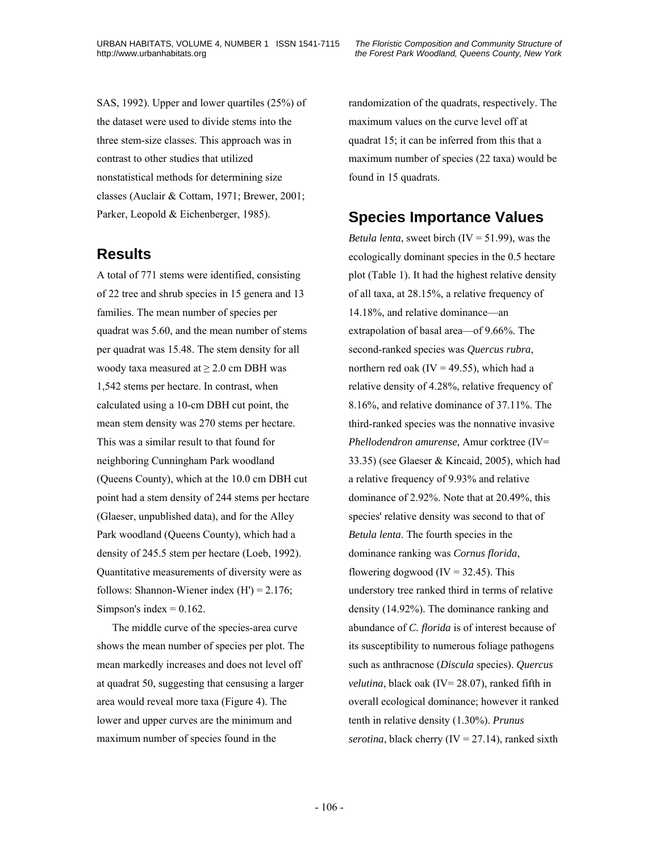SAS, 1992). Upper and lower quartiles (25%) of the dataset were used to divide stems into the three stem-size classes. This approach was in contrast to other studies that utilized nonstatistical methods for determining size classes (Auclair & Cottam, 1971; Brewer, 2001; Parker, Leopold & Eichenberger, 1985).

#### **Results**

A total of 771 stems were identified, consisting of 22 tree and shrub species in 15 genera and 13 families. The mean number of species per quadrat was 5.60, and the mean number of stems per quadrat was 15.48. The stem density for all woody taxa measured at  $\geq 2.0$  cm DBH was 1,542 stems per hectare. In contrast, when calculated using a 10-cm DBH cut point, the mean stem density was 270 stems per hectare. This was a similar result to that found for neighboring Cunningham Park woodland (Queens County), which at the 10.0 cm DBH cut point had a stem density of 244 stems per hectare (Glaeser, unpublished data), and for the Alley Park woodland (Queens County), which had a density of 245.5 stem per hectare (Loeb, 1992). Quantitative measurements of diversity were as follows: Shannon-Wiener index  $(H') = 2.176$ ; Simpson's index  $= 0.162$ .

The middle curve of the species-area curve shows the mean number of species per plot. The mean markedly increases and does not level off at quadrat 50, suggesting that censusing a larger area would reveal more taxa (Figure 4). The lower and upper curves are the minimum and maximum number of species found in the

randomization of the quadrats, respectively. The maximum values on the curve level off at quadrat 15; it can be inferred from this that a maximum number of species (22 taxa) would be found in 15 quadrats.

## **Species Importance Values**

*Betula lenta*, sweet birch (IV = 51.99), was the ecologically dominant species in the 0.5 hectare plot (Table 1). It had the highest relative density of all taxa, at 28.15%, a relative frequency of 14.18%, and relative dominance—an extrapolation of basal area—of 9.66%. The second-ranked species was *Quercus rubra*, northern red oak (IV = 49.55), which had a relative density of 4.28%, relative frequency of 8.16%, and relative dominance of 37.11%. The third-ranked species was the nonnative invasive *Phellodendron amurense*, Amur corktree (IV= 33.35) (see Glaeser & Kincaid, 2005), which had a relative frequency of 9.93% and relative dominance of 2.92%. Note that at 20.49%, this species' relative density was second to that of *Betula lenta*. The fourth species in the dominance ranking was *Cornus florida*, flowering dogwood  $(IV = 32.45)$ . This understory tree ranked third in terms of relative density (14.92%). The dominance ranking and abundance of *C. florida* is of interest because of its susceptibility to numerous foliage pathogens such as anthracnose (*Discula* species). *Quercus velutina*, black oak (IV= 28.07), ranked fifth in overall ecological dominance; however it ranked tenth in relative density (1.30%). *Prunus serotina*, black cherry (IV = 27.14), ranked sixth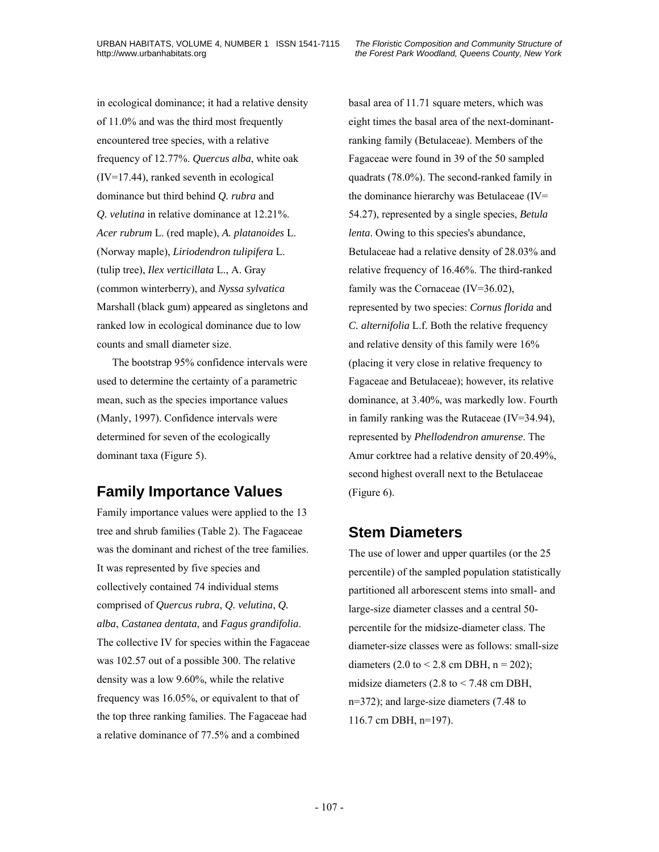in ecological dominance; it had a relative density of 11.0% and was the third most frequently encountered tree species, with a relative frequency of 12.77%. *Quercus alba*, white oak (IV=17.44), ranked seventh in ecological dominance but third behind *Q. rubra* and *Q. velutina* in relative dominance at 12.21%. *Acer rubrum* L. (red maple), *A. platanoides* L. (Norway maple), *Liriodendron tulipifera* L. (tulip tree), *Ilex verticillata* L., A. Gray (common winterberry), and *Nyssa sylvatica* Marshall (black gum) appeared as singletons and ranked low in ecological dominance due to low counts and small diameter size.

The bootstrap 95% confidence intervals were used to determine the certainty of a parametric mean, such as the species importance values (Manly, 1997). Confidence intervals were determined for seven of the ecologically dominant taxa (Figure 5).

# **Family Importance Values**

Family importance values were applied to the 13 tree and shrub families (Table 2). The Fagaceae was the dominant and richest of the tree families. It was represented by five species and collectively contained 74 individual stems comprised of *Quercus rubra*, *Q. velutina*, *Q. alba*, *Castanea dentata*, and *Fagus grandifolia*. The collective IV for species within the Fagaceae was 102.57 out of a possible 300. The relative density was a low 9.60%, while the relative frequency was 16.05%, or equivalent to that of the top three ranking families. The Fagaceae had a relative dominance of 77.5% and a combined

basal area of 11.71 square meters, which was eight times the basal area of the next-dominantranking family (Betulaceae). Members of the Fagaceae were found in 39 of the 50 sampled quadrats (78.0%). The second-ranked family in the dominance hierarchy was Betulaceae (IV= 54.27), represented by a single species, *Betula lenta*. Owing to this species's abundance, Betulaceae had a relative density of 28.03% and relative frequency of 16.46%. The third-ranked family was the Cornaceae (IV=36.02), represented by two species: *Cornus florida* and *C. alternifolia* L.f. Both the relative frequency and relative density of this family were 16% (placing it very close in relative frequency to Fagaceae and Betulaceae); however, its relative dominance, at 3.40%, was markedly low. Fourth in family ranking was the Rutaceae (IV=34.94), represented by *Phellodendron amurense*. The Amur corktree had a relative density of 20.49%, second highest overall next to the Betulaceae (Figure 6).

## **Stem Diameters**

The use of lower and upper quartiles (or the 25 percentile) of the sampled population statistically partitioned all arborescent stems into small- and large-size diameter classes and a central 50 percentile for the midsize-diameter class. The diameter-size classes were as follows: small-size diameters (2.0 to < 2.8 cm DBH,  $n = 202$ ); midsize diameters  $(2.8 \text{ to } < 7.48 \text{ cm})$  DBH, n=372); and large-size diameters (7.48 to 116.7 cm DBH, n=197).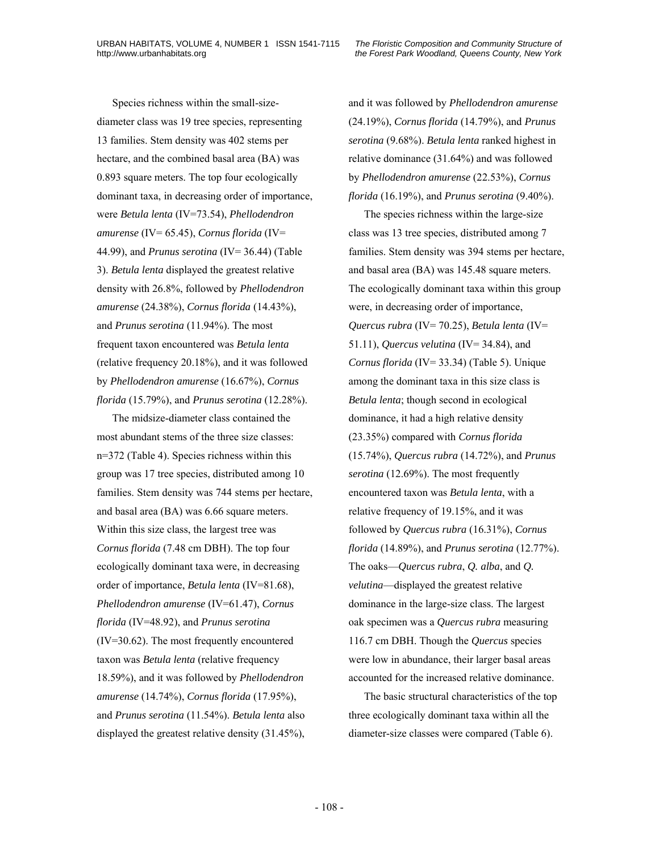Species richness within the small-sizediameter class was 19 tree species, representing 13 families. Stem density was 402 stems per hectare, and the combined basal area (BA) was 0.893 square meters. The top four ecologically dominant taxa, in decreasing order of importance, were *Betula lenta* (IV=73.54), *Phellodendron amurense* (IV= 65.45), *Cornus florida* (IV= 44.99), and *Prunus serotina* (IV= 36.44) (Table 3). *Betula lenta* displayed the greatest relative density with 26.8%, followed by *Phellodendron amurense* (24.38%), *Cornus florida* (14.43%), and *Prunus serotina* (11.94%). The most frequent taxon encountered was *Betula lenta* (relative frequency 20.18%), and it was followed by *Phellodendron amurense* (16.67%), *Cornus florida* (15.79%), and *Prunus serotina* (12.28%).

The midsize-diameter class contained the most abundant stems of the three size classes: n=372 (Table 4). Species richness within this group was 17 tree species, distributed among 10 families. Stem density was 744 stems per hectare, and basal area (BA) was 6.66 square meters. Within this size class, the largest tree was *Cornus florida* (7.48 cm DBH). The top four ecologically dominant taxa were, in decreasing order of importance, *Betula lenta* (IV=81.68), *Phellodendron amurense* (IV=61.47), *Cornus florida* (IV=48.92), and *Prunus serotina* (IV=30.62). The most frequently encountered taxon was *Betula lenta* (relative frequency 18.59%), and it was followed by *Phellodendron amurense* (14.74%), *Cornus florida* (17.95%), and *Prunus serotina* (11.54%). *Betula lenta* also displayed the greatest relative density (31.45%),

and it was followed by *Phellodendron amurense* (24.19%), *Cornus florida* (14.79%), and *Prunus serotina* (9.68%). *Betula lenta* ranked highest in relative dominance (31.64%) and was followed by *Phellodendron amurense* (22.53%), *Cornus florida* (16.19%), and *Prunus serotina* (9.40%).

The species richness within the large-size class was 13 tree species, distributed among 7 families. Stem density was 394 stems per hectare, and basal area (BA) was 145.48 square meters. The ecologically dominant taxa within this group were, in decreasing order of importance, *Quercus rubra* (IV= 70.25), *Betula lenta* (IV= 51.11), *Quercus velutina* (IV= 34.84), and *Cornus florida* (IV= 33.34) (Table 5). Unique among the dominant taxa in this size class is *Betula lenta*; though second in ecological dominance, it had a high relative density (23.35%) compared with *Cornus florida* (15.74%), *Quercus rubra* (14.72%), and *Prunus serotina* (12.69%). The most frequently encountered taxon was *Betula lenta*, with a relative frequency of 19.15%, and it was followed by *Quercus rubra* (16.31%), *Cornus florida* (14.89%), and *Prunus serotina* (12.77%). The oaks—*Quercus rubra*, *Q. alba*, and *Q. velutina*—displayed the greatest relative dominance in the large-size class. The largest oak specimen was a *Quercus rubra* measuring 116.7 cm DBH. Though the *Quercus* species were low in abundance, their larger basal areas accounted for the increased relative dominance.

The basic structural characteristics of the top three ecologically dominant taxa within all the diameter-size classes were compared (Table 6).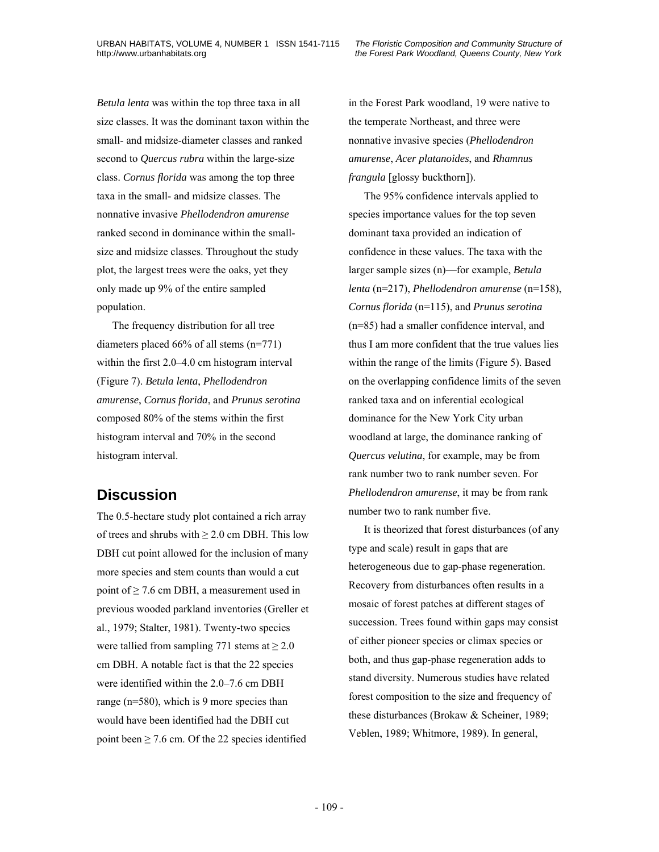*Betula lenta* was within the top three taxa in all size classes. It was the dominant taxon within the small- and midsize-diameter classes and ranked second to *Quercus rubra* within the large-size class. *Cornus florida* was among the top three taxa in the small- and midsize classes. The nonnative invasive *Phellodendron amurense* ranked second in dominance within the smallsize and midsize classes. Throughout the study plot, the largest trees were the oaks, yet they only made up 9% of the entire sampled population.

The frequency distribution for all tree diameters placed 66% of all stems (n=771) within the first 2.0–4.0 cm histogram interval (Figure 7). *Betula lenta*, *Phellodendron amurense*, *Cornus florida*, and *Prunus serotina* composed 80% of the stems within the first histogram interval and 70% in the second histogram interval.

### **Discussion**

The 0.5-hectare study plot contained a rich array of trees and shrubs with  $\geq 2.0$  cm DBH. This low DBH cut point allowed for the inclusion of many more species and stem counts than would a cut point of  $\geq$  7.6 cm DBH, a measurement used in previous wooded parkland inventories (Greller et al., 1979; Stalter, 1981). Twenty-two species were tallied from sampling 771 stems at  $\geq 2.0$ cm DBH. A notable fact is that the 22 species were identified within the 2.0–7.6 cm DBH range (n=580), which is 9 more species than would have been identified had the DBH cut point been  $\geq$  7.6 cm. Of the 22 species identified

in the Forest Park woodland, 19 were native to the temperate Northeast, and three were nonnative invasive species (*Phellodendron amurense*, *Acer platanoides*, and *Rhamnus frangula* [glossy buckthorn]).

The 95% confidence intervals applied to species importance values for the top seven dominant taxa provided an indication of confidence in these values. The taxa with the larger sample sizes (n)—for example, *Betula lenta* (n=217), *Phellodendron amurense* (n=158), *Cornus florida* (n=115), and *Prunus serotina* (n=85) had a smaller confidence interval, and thus I am more confident that the true values lies within the range of the limits (Figure 5). Based on the overlapping confidence limits of the seven ranked taxa and on inferential ecological dominance for the New York City urban woodland at large, the dominance ranking of *Quercus velutina*, for example, may be from rank number two to rank number seven. For *Phellodendron amurense*, it may be from rank number two to rank number five.

It is theorized that forest disturbances (of any type and scale) result in gaps that are heterogeneous due to gap-phase regeneration. Recovery from disturbances often results in a mosaic of forest patches at different stages of succession. Trees found within gaps may consist of either pioneer species or climax species or both, and thus gap-phase regeneration adds to stand diversity. Numerous studies have related forest composition to the size and frequency of these disturbances (Brokaw & Scheiner, 1989; Veblen, 1989; Whitmore, 1989). In general,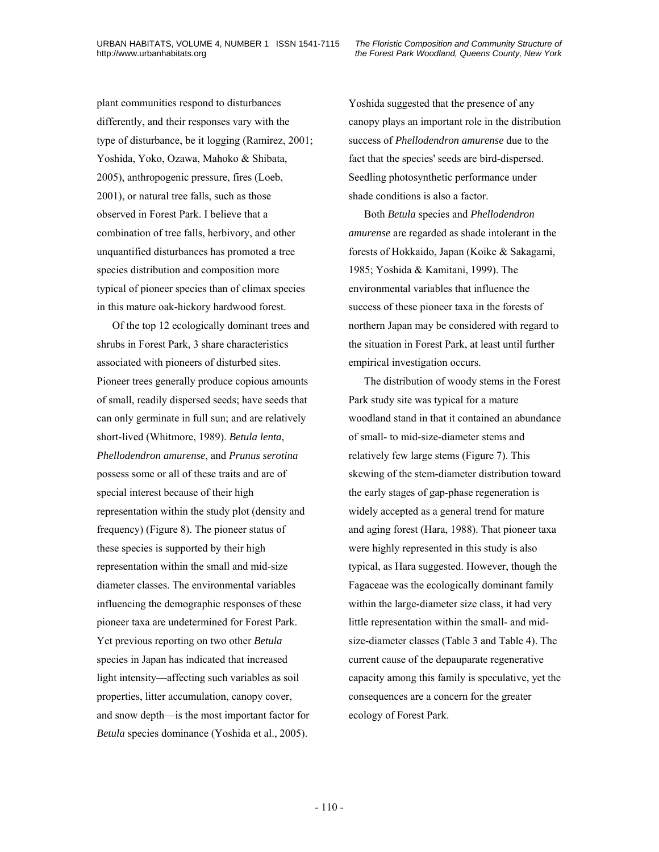plant communities respond to disturbances differently, and their responses vary with the type of disturbance, be it logging (Ramirez, 2001; Yoshida, Yoko, Ozawa, Mahoko & Shibata, 2005), anthropogenic pressure, fires (Loeb, 2001), or natural tree falls, such as those observed in Forest Park. I believe that a combination of tree falls, herbivory, and other unquantified disturbances has promoted a tree species distribution and composition more typical of pioneer species than of climax species in this mature oak-hickory hardwood forest.

Of the top 12 ecologically dominant trees and shrubs in Forest Park, 3 share characteristics associated with pioneers of disturbed sites. Pioneer trees generally produce copious amounts of small, readily dispersed seeds; have seeds that can only germinate in full sun; and are relatively short-lived (Whitmore, 1989). *Betula lenta*, *Phellodendron amurense*, and *Prunus serotina* possess some or all of these traits and are of special interest because of their high representation within the study plot (density and frequency) (Figure 8). The pioneer status of these species is supported by their high representation within the small and mid-size diameter classes. The environmental variables influencing the demographic responses of these pioneer taxa are undetermined for Forest Park. Yet previous reporting on two other *Betula* species in Japan has indicated that increased light intensity—affecting such variables as soil properties, litter accumulation, canopy cover, and snow depth—is the most important factor for *Betula* species dominance (Yoshida et al., 2005).

Yoshida suggested that the presence of any canopy plays an important role in the distribution success of *Phellodendron amurense* due to the fact that the species' seeds are bird-dispersed. Seedling photosynthetic performance under shade conditions is also a factor.

Both *Betula* species and *Phellodendron amurense* are regarded as shade intolerant in the forests of Hokkaido, Japan (Koike & Sakagami, 1985; Yoshida & Kamitani, 1999). The environmental variables that influence the success of these pioneer taxa in the forests of northern Japan may be considered with regard to the situation in Forest Park, at least until further empirical investigation occurs.

The distribution of woody stems in the Forest Park study site was typical for a mature woodland stand in that it contained an abundance of small- to mid-size-diameter stems and relatively few large stems (Figure 7). This skewing of the stem-diameter distribution toward the early stages of gap-phase regeneration is widely accepted as a general trend for mature and aging forest (Hara, 1988). That pioneer taxa were highly represented in this study is also typical, as Hara suggested. However, though the Fagaceae was the ecologically dominant family within the large-diameter size class, it had very little representation within the small- and midsize-diameter classes (Table 3 and Table 4). The current cause of the depauparate regenerative capacity among this family is speculative, yet the consequences are a concern for the greater ecology of Forest Park.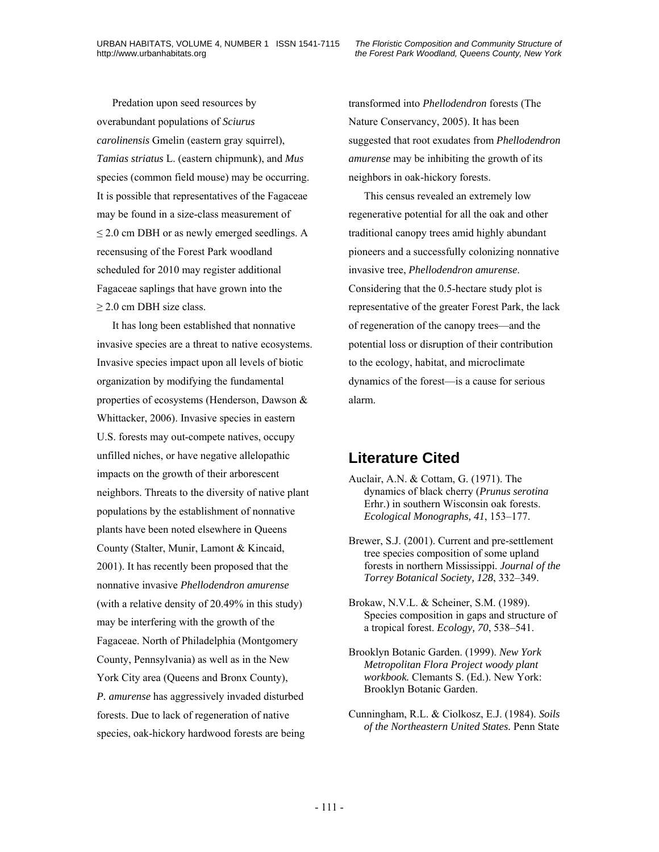Predation upon seed resources by overabundant populations of *Sciurus carolinensis* Gmelin (eastern gray squirrel), *Tamias striatus* L. (eastern chipmunk), and *Mus* species (common field mouse) may be occurring. It is possible that representatives of the Fagaceae may be found in a size-class measurement of  $\leq$  2.0 cm DBH or as newly emerged seedlings. A recensusing of the Forest Park woodland scheduled for 2010 may register additional Fagaceae saplings that have grown into the  $\geq$  2.0 cm DBH size class.

It has long been established that nonnative invasive species are a threat to native ecosystems. Invasive species impact upon all levels of biotic organization by modifying the fundamental properties of ecosystems (Henderson, Dawson & Whittacker, 2006). Invasive species in eastern U.S. forests may out-compete natives, occupy unfilled niches, or have negative allelopathic impacts on the growth of their arborescent neighbors. Threats to the diversity of native plant populations by the establishment of nonnative plants have been noted elsewhere in Queens County (Stalter, Munir, Lamont & Kincaid, 2001). It has recently been proposed that the nonnative invasive *Phellodendron amurense* (with a relative density of 20.49% in this study) may be interfering with the growth of the Fagaceae. North of Philadelphia (Montgomery County, Pennsylvania) as well as in the New York City area (Queens and Bronx County), *P. amurense* has aggressively invaded disturbed forests. Due to lack of regeneration of native species, oak-hickory hardwood forests are being

transformed into *Phellodendron* forests (The Nature Conservancy, 2005). It has been suggested that root exudates from *Phellodendron amurense* may be inhibiting the growth of its neighbors in oak-hickory forests.

This census revealed an extremely low regenerative potential for all the oak and other traditional canopy trees amid highly abundant pioneers and a successfully colonizing nonnative invasive tree, *Phellodendron amurense*. Considering that the 0.5-hectare study plot is representative of the greater Forest Park, the lack of regeneration of the canopy trees—and the potential loss or disruption of their contribution to the ecology, habitat, and microclimate dynamics of the forest—is a cause for serious alarm.

# **Literature Cited**

- Auclair, A.N. & Cottam, G. (1971). The dynamics of black cherry (*Prunus serotina* Erhr.) in southern Wisconsin oak forests. *Ecological Monographs, 41*, 153–177.
- Brewer, S.J. (2001). Current and pre-settlement tree species composition of some upland forests in northern Mississippi. *Journal of the Torrey Botanical Society, 128*, 332–349.
- Brokaw, N.V.L. & Scheiner, S.M. (1989). Species composition in gaps and structure of a tropical forest. *Ecology, 70*, 538–541.
- Brooklyn Botanic Garden. (1999). *New York Metropolitan Flora Project woody plant workbook.* Clemants S. (Ed.). New York: Brooklyn Botanic Garden.
- Cunningham, R.L. & Ciolkosz, E.J. (1984). *Soils of the Northeastern United States.* Penn State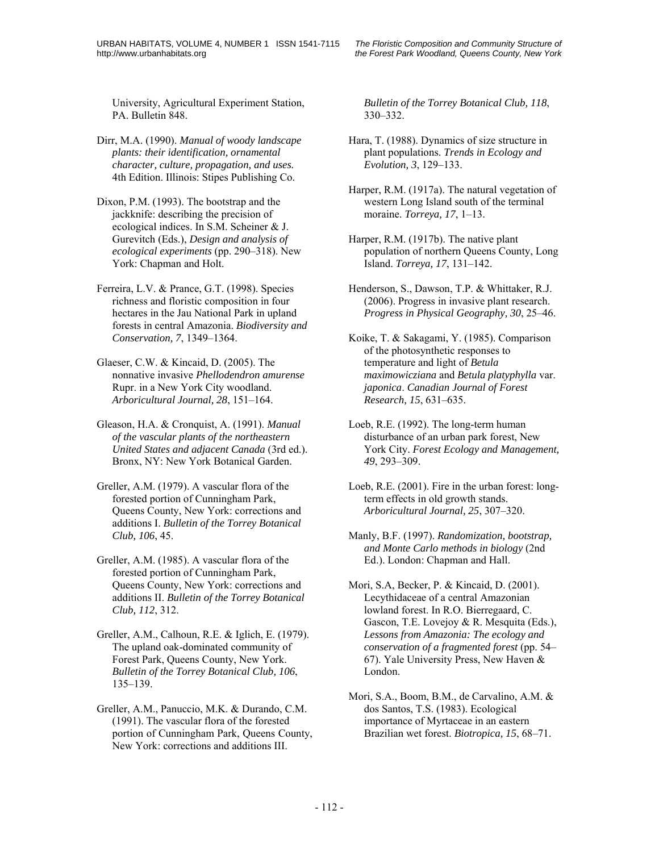University, Agricultural Experiment Station, PA. Bulletin 848.

- Dirr, M.A. (1990). *Manual of woody landscape plants: their identification, ornamental character, culture, propagation, and uses.* 4th Edition. Illinois: Stipes Publishing Co.
- Dixon, P.M. (1993). The bootstrap and the jackknife: describing the precision of ecological indices. In S.M. Scheiner & J. Gurevitch (Eds.), *Design and analysis of ecological experiments* (pp. 290–318). New York: Chapman and Holt.
- Ferreira, L.V. & Prance, G.T. (1998). Species richness and floristic composition in four hectares in the Jau National Park in upland forests in central Amazonia. *Biodiversity and Conservation, 7*, 1349–1364.
- Glaeser, C.W. & Kincaid, D. (2005). The nonnative invasive *Phellodendron amurense* Rupr. in a New York City woodland. *Arboricultural Journal, 28*, 151–164.
- Gleason, H.A. & Cronquist, A. (1991). *Manual of the vascular plants of the northeastern United States and adjacent Canada* (3rd ed.). Bronx, NY: New York Botanical Garden.
- Greller, A.M. (1979). A vascular flora of the forested portion of Cunningham Park, Queens County, New York: corrections and additions I. *Bulletin of the Torrey Botanical Club, 106*, 45.
- Greller, A.M. (1985). A vascular flora of the forested portion of Cunningham Park, Queens County, New York: corrections and additions II. *Bulletin of the Torrey Botanical Club, 112*, 312.
- Greller, A.M., Calhoun, R.E. & Iglich, E. (1979). The upland oak-dominated community of Forest Park, Queens County, New York. *Bulletin of the Torrey Botanical Club, 106*, 135–139.
- Greller, A.M., Panuccio, M.K. & Durando, C.M. (1991). The vascular flora of the forested portion of Cunningham Park, Queens County, New York: corrections and additions III.

*Bulletin of the Torrey Botanical Club, 118*, 330–332.

- Hara, T. (1988). Dynamics of size structure in plant populations. *Trends in Ecology and Evolution, 3*, 129–133.
- Harper, R.M. (1917a). The natural vegetation of western Long Island south of the terminal moraine. *Torreya, 17*, 1–13.
- Harper, R.M. (1917b). The native plant population of northern Queens County, Long Island. *Torreya, 17*, 131–142.
- Henderson, S., Dawson, T.P. & Whittaker, R.J. (2006). Progress in invasive plant research. *Progress in Physical Geography, 30*, 25–46.
- Koike, T. & Sakagami, Y. (1985). Comparison of the photosynthetic responses to temperature and light of *Betula maximowicziana* and *Betula platyphylla* var. *japonica*. *Canadian Journal of Forest Research, 15*, 631–635.
- Loeb, R.E. (1992). The long-term human disturbance of an urban park forest, New York City. *Forest Ecology and Management, 49*, 293–309.
- Loeb, R.E. (2001). Fire in the urban forest: longterm effects in old growth stands. *Arboricultural Journal, 25*, 307–320.
- Manly, B.F. (1997). *Randomization, bootstrap, and Monte Carlo methods in biology* (2nd Ed.). London: Chapman and Hall.
- Mori, S.A, Becker, P. & Kincaid, D. (2001). Lecythidaceae of a central Amazonian lowland forest. In R.O. Bierregaard, C. Gascon, T.E. Lovejoy & R. Mesquita (Eds.), *Lessons from Amazonia: The ecology and conservation of a fragmented forest* (pp. 54– 67). Yale University Press, New Haven & London.
- Mori, S.A., Boom, B.M., de Carvalino, A.M. & dos Santos, T.S. (1983). Ecological importance of Myrtaceae in an eastern Brazilian wet forest. *Biotropica, 15*, 68–71.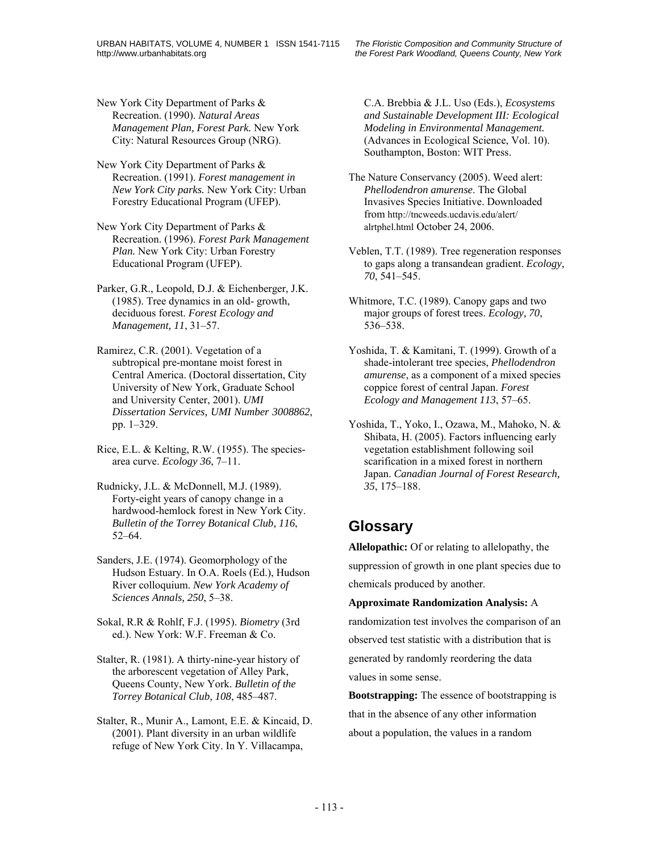New York City Department of Parks & Recreation. (1990). *Natural Areas Management Plan, Forest Park.* New York City: Natural Resources Group (NRG).

New York City Department of Parks & Recreation. (1991). *Forest management in New York City parks.* New York City: Urban Forestry Educational Program (UFEP).

New York City Department of Parks & Recreation. (1996). *Forest Park Management Plan.* New York City: Urban Forestry Educational Program (UFEP).

Parker, G.R., Leopold, D.J. & Eichenberger, J.K. (1985). Tree dynamics in an old- growth, deciduous forest. *Forest Ecology and Management, 11*, 31–57.

Ramirez, C.R. (2001). Vegetation of a subtropical pre-montane moist forest in Central America. (Doctoral dissertation, City University of New York, Graduate School and University Center, 2001). *UMI Dissertation Services, UMI Number 3008862*, pp. 1–329.

Rice, E.L. & Kelting, R.W. (1955). The speciesarea curve. *Ecology 36*, 7–11.

Rudnicky, J.L. & McDonnell, M.J. (1989). Forty-eight years of canopy change in a hardwood-hemlock forest in New York City. *Bulletin of the Torrey Botanical Club, 116*, 52–64.

Sanders, J.E. (1974). Geomorphology of the Hudson Estuary. In O.A. Roels (Ed.), Hudson River colloquium. *New York Academy of Sciences Annals, 250*, 5–38.

Sokal, R.R & Rohlf, F.J. (1995). *Biometry* (3rd ed.). New York: W.F. Freeman & Co.

Stalter, R. (1981). A thirty-nine-year history of the arborescent vegetation of Alley Park, Queens County, New York. *Bulletin of the Torrey Botanical Club, 108*, 485–487.

Stalter, R., Munir A., Lamont, E.E. & Kincaid, D. (2001). Plant diversity in an urban wildlife refuge of New York City. In Y. Villacampa,

C.A. Brebbia & J.L. Uso (Eds.), *Ecosystems and Sustainable Development III: Ecological Modeling in Environmental Management.* (Advances in Ecological Science, Vol. 10). Southampton, Boston: WIT Press.

- The Nature Conservancy (2005). Weed alert: *Phellodendron amurense*. The Global Invasives Species Initiative. Downloaded from http://tncweeds.ucdavis.edu/alert/ alrtphel.html October 24, 2006.
- Veblen, T.T. (1989). Tree regeneration responses to gaps along a transandean gradient. *Ecology, 70*, 541–545.
- Whitmore, T.C. (1989). Canopy gaps and two major groups of forest trees. *Ecology, 70*, 536–538.
- Yoshida, T. & Kamitani, T. (1999). Growth of a shade-intolerant tree species, *Phellodendron amurense*, as a component of a mixed species coppice forest of central Japan. *Forest Ecology and Management 113*, 57–65.

Yoshida, T., Yoko, I., Ozawa, M., Mahoko, N. & Shibata, H. (2005). Factors influencing early vegetation establishment following soil scarification in a mixed forest in northern Japan. *Canadian Journal of Forest Research, 35*, 175–188.

# **Glossary**

**Allelopathic:** Of or relating to allelopathy, the suppression of growth in one plant species due to chemicals produced by another.

**Approximate Randomization Analysis:** A randomization test involves the comparison of an observed test statistic with a distribution that is generated by randomly reordering the data values in some sense.

**Bootstrapping:** The essence of bootstrapping is that in the absence of any other information about a population, the values in a random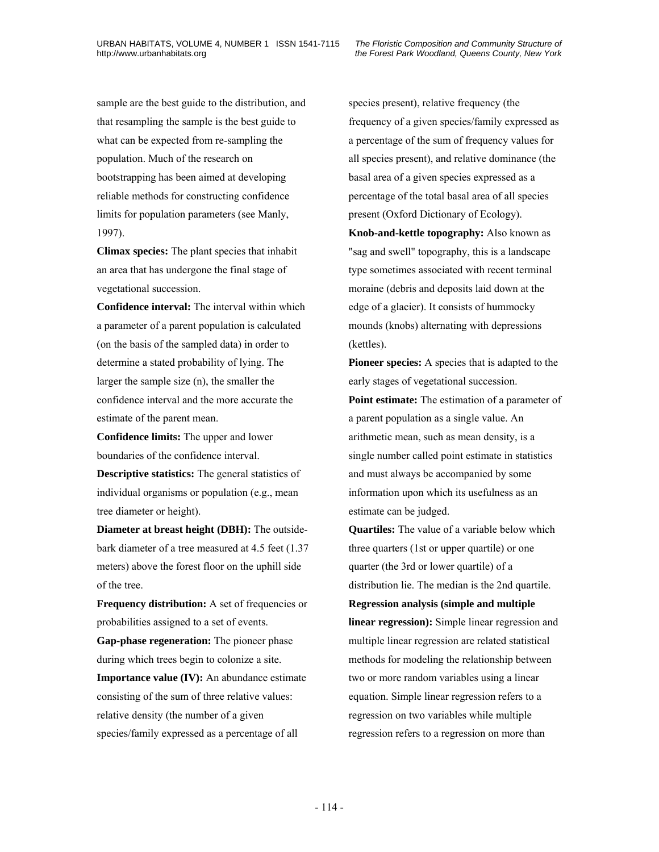sample are the best guide to the distribution, and that resampling the sample is the best guide to what can be expected from re-sampling the population. Much of the research on bootstrapping has been aimed at developing reliable methods for constructing confidence limits for population parameters (see Manly, 1997).

**Climax species:** The plant species that inhabit an area that has undergone the final stage of vegetational succession.

**Confidence interval:** The interval within which a parameter of a parent population is calculated (on the basis of the sampled data) in order to determine a stated probability of lying. The larger the sample size (n), the smaller the confidence interval and the more accurate the estimate of the parent mean.

**Confidence limits:** The upper and lower boundaries of the confidence interval.

**Descriptive statistics:** The general statistics of individual organisms or population (e.g., mean tree diameter or height).

**Diameter at breast height (DBH):** The outsidebark diameter of a tree measured at 4.5 feet (1.37 meters) above the forest floor on the uphill side of the tree.

**Frequency distribution:** A set of frequencies or probabilities assigned to a set of events. **Gap-phase regeneration:** The pioneer phase during which trees begin to colonize a site. **Importance value (IV):** An abundance estimate consisting of the sum of three relative values: relative density (the number of a given species/family expressed as a percentage of all

species present), relative frequency (the frequency of a given species/family expressed as a percentage of the sum of frequency values for all species present), and relative dominance (the basal area of a given species expressed as a percentage of the total basal area of all species present (Oxford Dictionary of Ecology).

**Knob-and-kettle topography:** Also known as "sag and swell" topography, this is a landscape type sometimes associated with recent terminal moraine (debris and deposits laid down at the edge of a glacier). It consists of hummocky mounds (knobs) alternating with depressions (kettles).

**Pioneer species:** A species that is adapted to the early stages of vegetational succession. **Point estimate:** The estimation of a parameter of a parent population as a single value. An arithmetic mean, such as mean density, is a single number called point estimate in statistics and must always be accompanied by some information upon which its usefulness as an estimate can be judged.

**Quartiles:** The value of a variable below which three quarters (1st or upper quartile) or one quarter (the 3rd or lower quartile) of a distribution lie. The median is the 2nd quartile. **Regression analysis (simple and multiple linear regression):** Simple linear regression and multiple linear regression are related statistical methods for modeling the relationship between two or more random variables using a linear equation. Simple linear regression refers to a regression on two variables while multiple regression refers to a regression on more than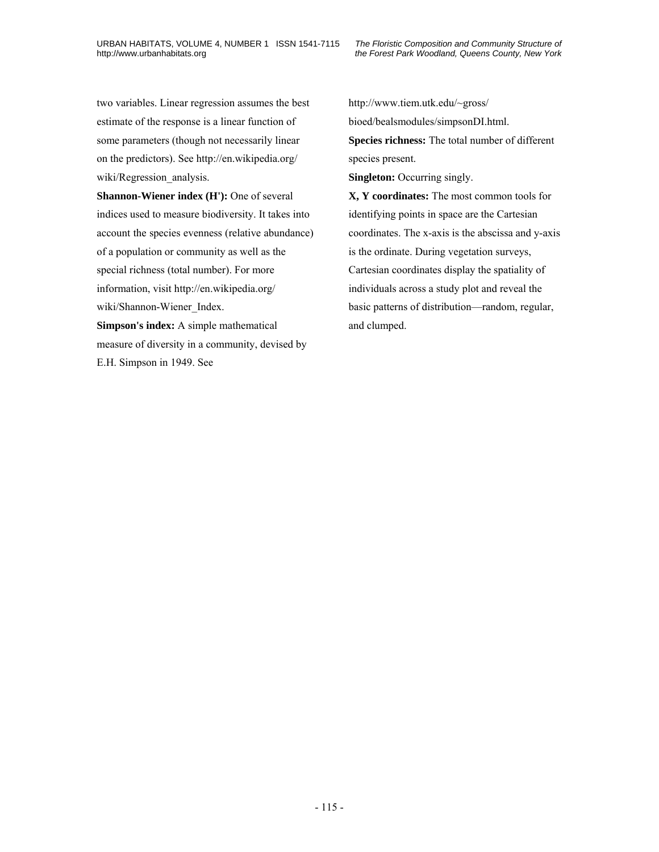two variables. Linear regression assumes the best estimate of the response is a linear function of some parameters (though not necessarily linear on the predictors). See http://en.wikipedia.org/ wiki/Regression analysis.

**Shannon-Wiener index (H'):** One of several indices used to measure biodiversity. It takes into account the species evenness (relative abundance) of a population or community as well as the special richness (total number). For more information, visit http://en.wikipedia.org/ wiki/Shannon-Wiener\_Index.

**Simpson's index:** A simple mathematical measure of diversity in a community, devised by E.H. Simpson in 1949. See

http://www.tiem.utk.edu/~gross/ bioed/bealsmodules/simpsonDI.html. **Species richness:** The total number of different species present. **Singleton:** Occurring singly. **X, Y coordinates:** The most common tools for identifying points in space are the Cartesian

coordinates. The x-axis is the abscissa and y-axis is the ordinate. During vegetation surveys, Cartesian coordinates display the spatiality of individuals across a study plot and reveal the basic patterns of distribution—random, regular, and clumped.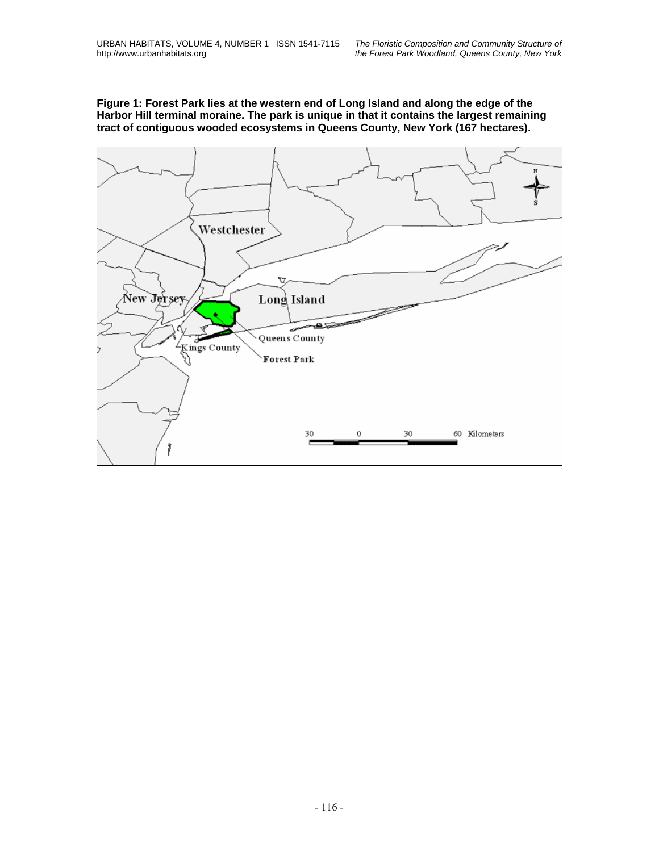**Figure 1: Forest Park lies at the western end of Long Island and along the edge of the Harbor Hill terminal moraine. The park is unique in that it contains the largest remaining tract of contiguous wooded ecosystems in Queens County, New York (167 hectares).** 

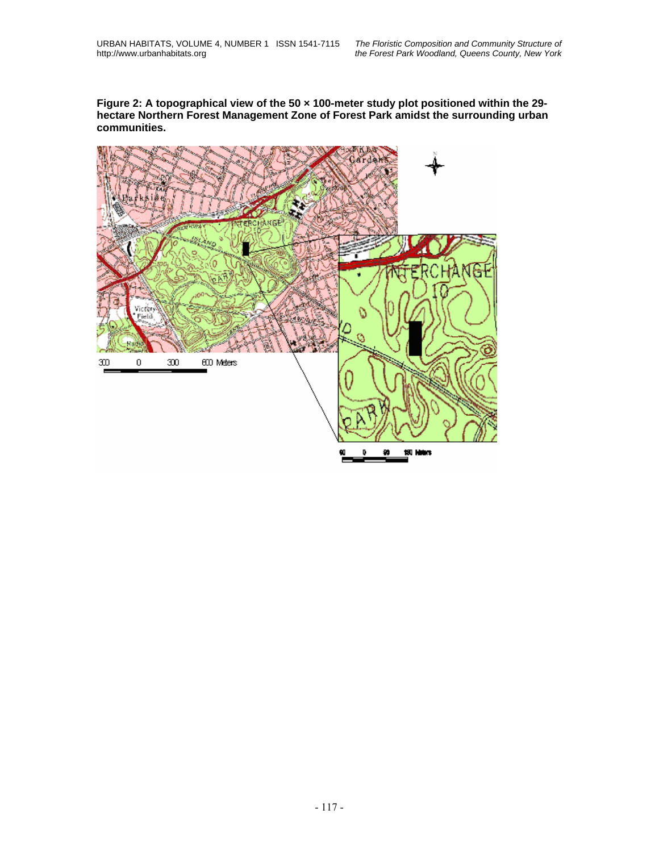**Figure 2: A topographical view of the 50 × 100-meter study plot positioned within the 29 hectare Northern Forest Management Zone of Forest Park amidst the surrounding urban communities.** 

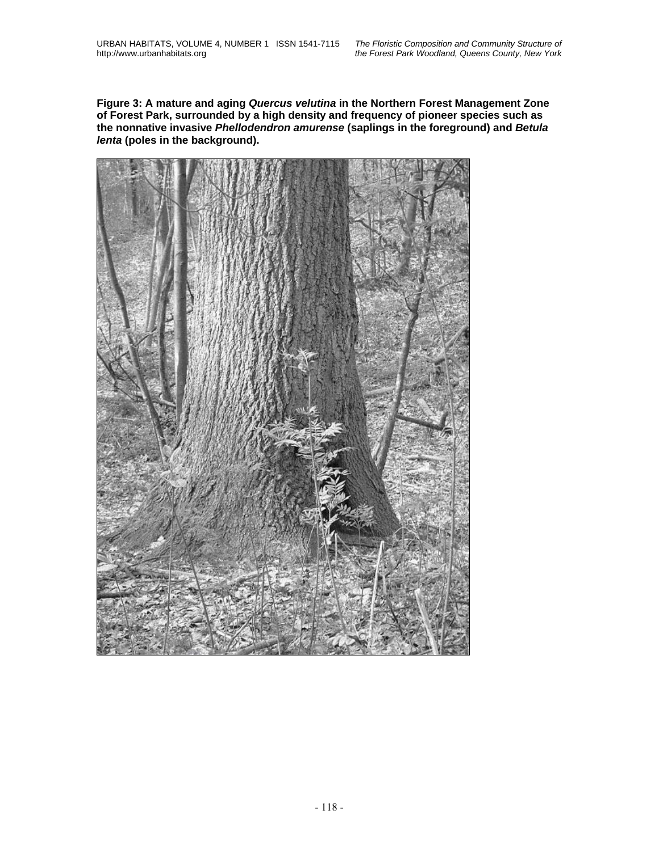**Figure 3: A mature and aging** *Quercus velutina* **in the Northern Forest Management Zone of Forest Park, surrounded by a high density and frequency of pioneer species such as the nonnative invasive** *Phellodendron amurense* **(saplings in the foreground) and** *Betula lenta* **(poles in the background).** 

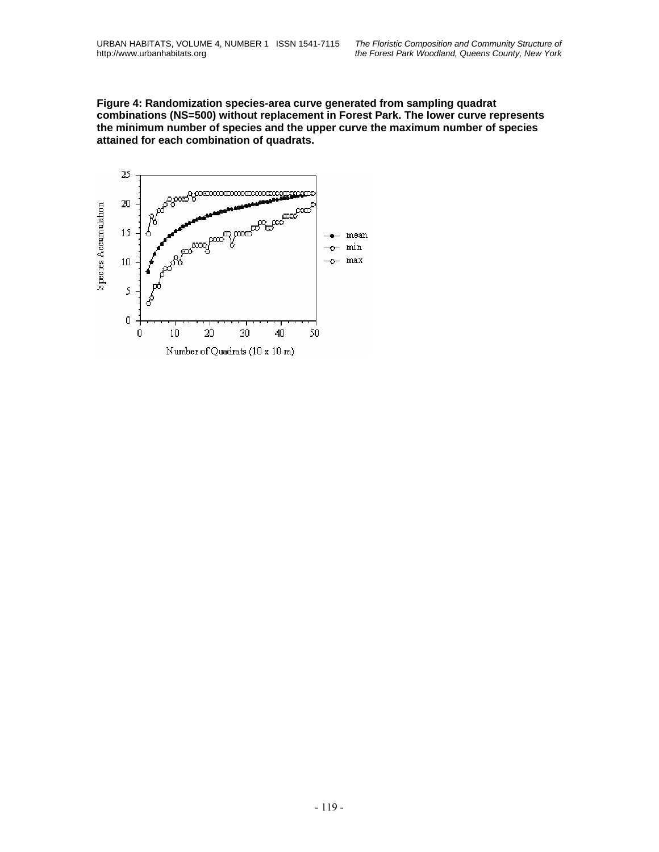**Figure 4: Randomization species-area curve generated from sampling quadrat combinations (NS=500) without replacement in Forest Park. The lower curve represents the minimum number of species and the upper curve the maximum number of species attained for each combination of quadrats.** 

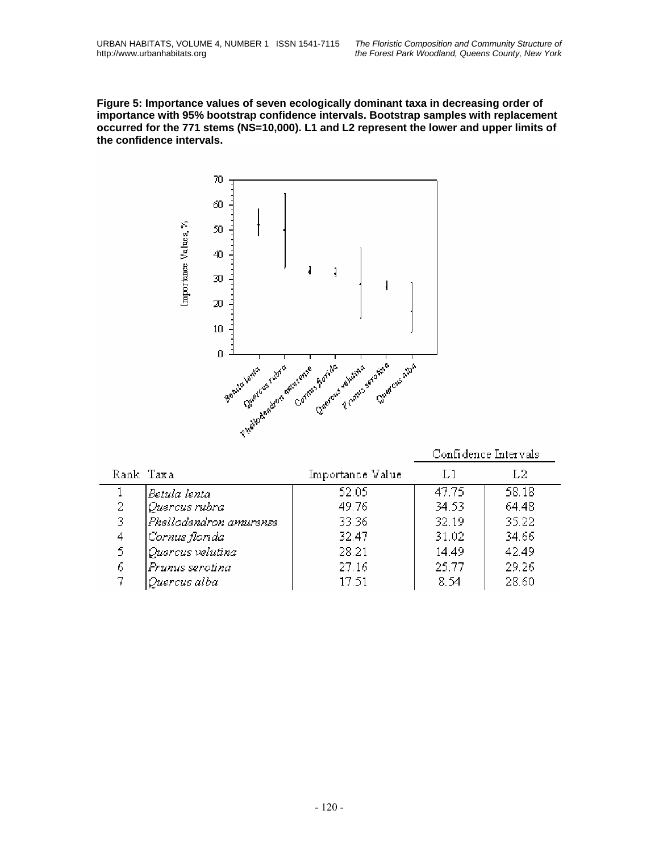**Figure 5: Importance values of seven ecologically dominant taxa in decreasing order of importance with 95% bootstrap confidence intervals. Bootstrap samples with replacement occurred for the 771 stems (NS=10,000). L1 and L2 represent the lower and upper limits of the confidence intervals.** 



|           |                        |                  | Confidence Intervals |       |  |
|-----------|------------------------|------------------|----------------------|-------|--|
| Rank Taxa |                        | Importance Value | L1                   | L2    |  |
|           | Betula lenta           | 52.05            | 47.75                | 58.18 |  |
| 2         | Quercus rubra          | 49.76            | 34.53                | 64.48 |  |
| 3         | Phellodendron amurense | 33.36            | 32.19                | 35.22 |  |
| 4         | Cornus florida         | 32.47            | 31.02                | 34.66 |  |
| 5         | Quercus velutina       | 28.21            | 14.49                | 42.49 |  |
| 6         | Prunus serotina        | 27.16            | 25.77                | 29.26 |  |
|           | Quercus alba           | 17.51            | 8.54                 | 28.60 |  |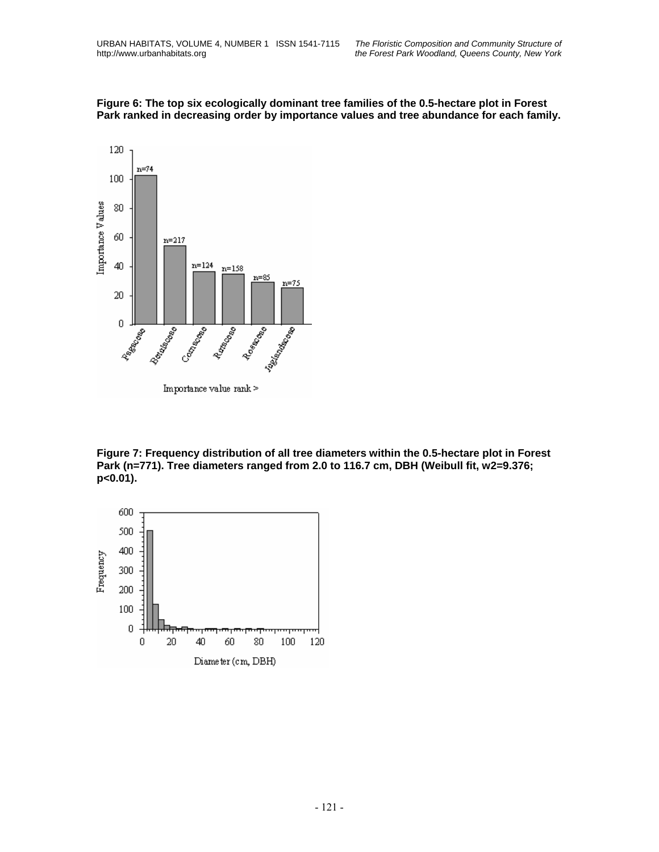



**Figure 7: Frequency distribution of all tree diameters within the 0.5-hectare plot in Forest**  Park (n=771). Tree diameters ranged from 2.0 to 116.7 cm, DBH (Weibull fit, w2=9.376; **p<0.01).** 

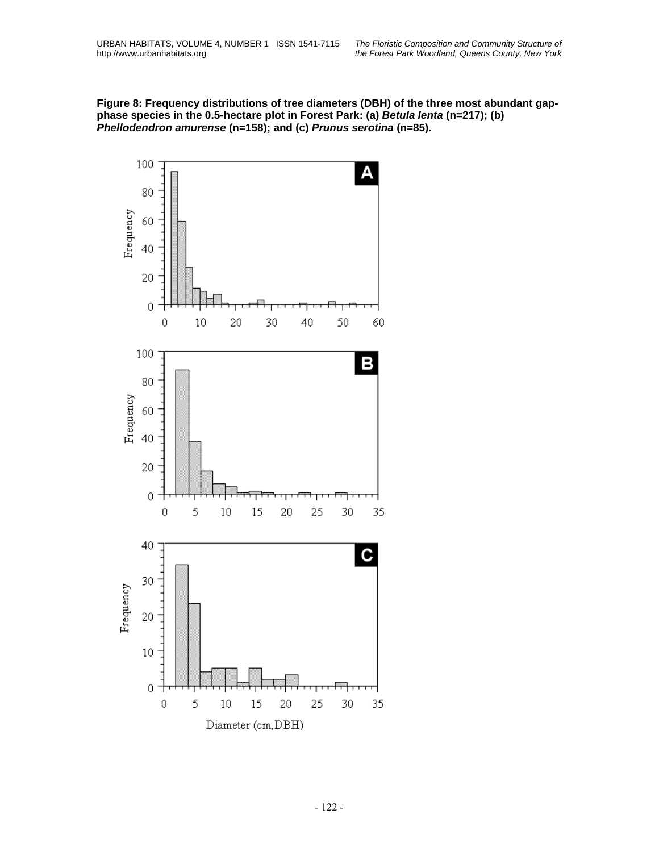**Figure 8: Frequency distributions of tree diameters (DBH) of the three most abundant gapphase species in the 0.5-hectare plot in Forest Park: (a)** *Betula lenta* **(n=217); (b)**  *Phellodendron amurense* **(n=158); and (c)** *Prunus serotina* **(n=85).** 

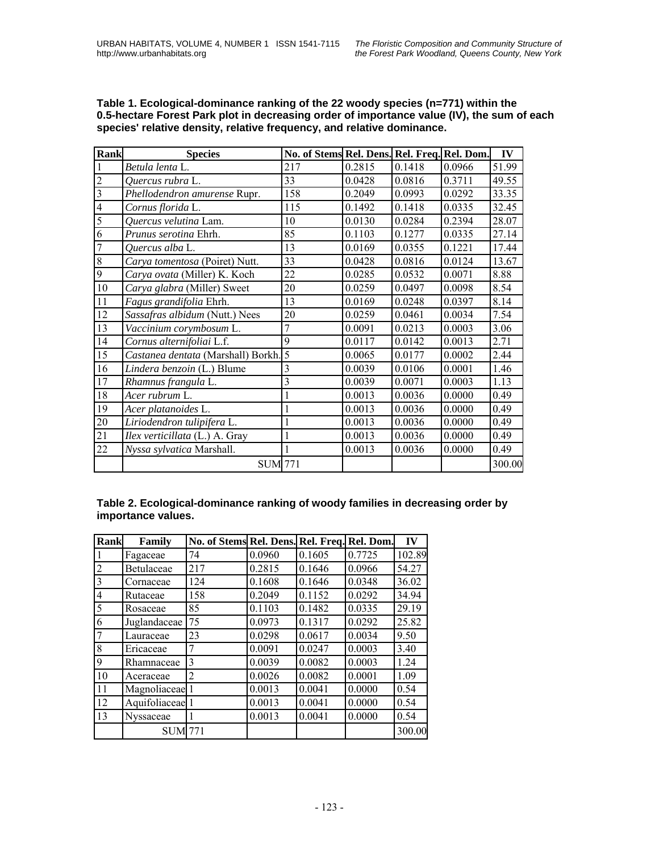| <b>Rank</b>             | <b>Species</b>                        | No. of Stems Rel. Dens. Rel. Freq. Rel. Dom. |        |        |        | IV     |
|-------------------------|---------------------------------------|----------------------------------------------|--------|--------|--------|--------|
|                         | Betula lenta L.                       | 217                                          | 0.2815 | 0.1418 | 0.0966 | 51.99  |
| $\overline{c}$          | Quercus rubra L.                      | 33                                           | 0.0428 | 0.0816 | 0.3711 | 49.55  |
| $\overline{\mathbf{3}}$ | Phellodendron amurense Rupr.          | 158                                          | 0.2049 | 0.0993 | 0.0292 | 33.35  |
| $\overline{4}$          | Cornus florida L.                     | 115                                          | 0.1492 | 0.1418 | 0.0335 | 32.45  |
| 5                       | Quercus velutina Lam.                 | 10                                           | 0.0130 | 0.0284 | 0.2394 | 28.07  |
| 6                       | Prunus serotina Ehrh.                 | 85                                           | 0.1103 | 0.1277 | 0.0335 | 27.14  |
| 7                       | Quercus alba L.                       | 13                                           | 0.0169 | 0.0355 | 0.1221 | 17.44  |
| $\,8\,$                 | Carya tomentosa (Poiret) Nutt.        | 33                                           | 0.0428 | 0.0816 | 0.0124 | 13.67  |
| 9                       | Carya ovata (Miller) K. Koch          | 22                                           | 0.0285 | 0.0532 | 0.0071 | 8.88   |
| 10                      | Carya glabra (Miller) Sweet           | 20                                           | 0.0259 | 0.0497 | 0.0098 | 8.54   |
| 11                      | Fagus grandifolia Ehrh.               | 13                                           | 0.0169 | 0.0248 | 0.0397 | 8.14   |
| 12                      | Sassafras albidum (Nutt.) Nees        | 20                                           | 0.0259 | 0.0461 | 0.0034 | 7.54   |
| 13                      | Vaccinium corymbosum L.               | 7                                            | 0.0091 | 0.0213 | 0.0003 | 3.06   |
| 14                      | Cornus alternifoliai L.f.             | 9                                            | 0.0117 | 0.0142 | 0.0013 | 2.71   |
| 15                      | Castanea dentata (Marshall) Borkh. 5  |                                              | 0.0065 | 0.0177 | 0.0002 | 2.44   |
| 16                      | Lindera benzoin (L.) Blume            | 3                                            | 0.0039 | 0.0106 | 0.0001 | 1.46   |
| 17                      | Rhamnus frangula L.                   | 3                                            | 0.0039 | 0.0071 | 0.0003 | 1.13   |
| 18                      | Acer rubrum L.                        | 1                                            | 0.0013 | 0.0036 | 0.0000 | 0.49   |
| 19                      | Acer platanoides L.                   |                                              | 0.0013 | 0.0036 | 0.0000 | 0.49   |
| 20                      | Liriodendron tulipifera L.            |                                              | 0.0013 | 0.0036 | 0.0000 | 0.49   |
| 21                      | <i>Ilex verticillata</i> (L.) A. Gray |                                              | 0.0013 | 0.0036 | 0.0000 | 0.49   |
| 22                      | Nyssa sylvatica Marshall.             |                                              | 0.0013 | 0.0036 | 0.0000 | 0.49   |
|                         | <b>SUM 771</b>                        |                                              |        |        |        | 300.00 |

**Table 1. Ecological-dominance ranking of the 22 woody species (n=771) within the 0.5-hectare Forest Park plot in decreasing order of importance value (IV), the sum of each species' relative density, relative frequency, and relative dominance.** 

#### **Table 2. Ecological-dominance ranking of woody families in decreasing order by importance values.**

| <b>Rank</b>    | Family          | No. of Stems Rel. Dens. |        | Rel. Freq. | Rel. Dom. | IV     |
|----------------|-----------------|-------------------------|--------|------------|-----------|--------|
|                | Fagaceae        | 74                      | 0.0960 | 0.1605     | 0.7725    | 102.89 |
| $\overline{2}$ | Betulaceae      | 217                     | 0.2815 | 0.1646     | 0.0966    | 54.27  |
| 3              | Cornaceae       | 124                     | 0.1608 | 0.1646     | 0.0348    | 36.02  |
| 4              | Rutaceae        | 158                     | 0.2049 | 0.1152     | 0.0292    | 34.94  |
| 5              | Rosaceae        | 85                      | 0.1103 | 0.1482     | 0.0335    | 29.19  |
| 6              | Juglandaceae    | 75                      | 0.0973 | 0.1317     | 0.0292    | 25.82  |
| 7              | Lauraceae       | 23                      | 0.0298 | 0.0617     | 0.0034    | 9.50   |
| 8              | Ericaceae       | 7                       | 0.0091 | 0.0247     | 0.0003    | 3.40   |
| 9              | Rhamnaceae      | 3                       | 0.0039 | 0.0082     | 0.0003    | 1.24   |
| 10             | Aceraceae       | $\overline{2}$          | 0.0026 | 0.0082     | 0.0001    | 1.09   |
| 11             | Magnoliaceae 1  |                         | 0.0013 | 0.0041     | 0.0000    | 0.54   |
| 12             | Aquifoliaceae 1 |                         | 0.0013 | 0.0041     | 0.0000    | 0.54   |
| 13             | Nyssaceae       |                         | 0.0013 | 0.0041     | 0.0000    | 0.54   |
|                | <b>SUM</b>      | 771                     |        |            |           | 300.00 |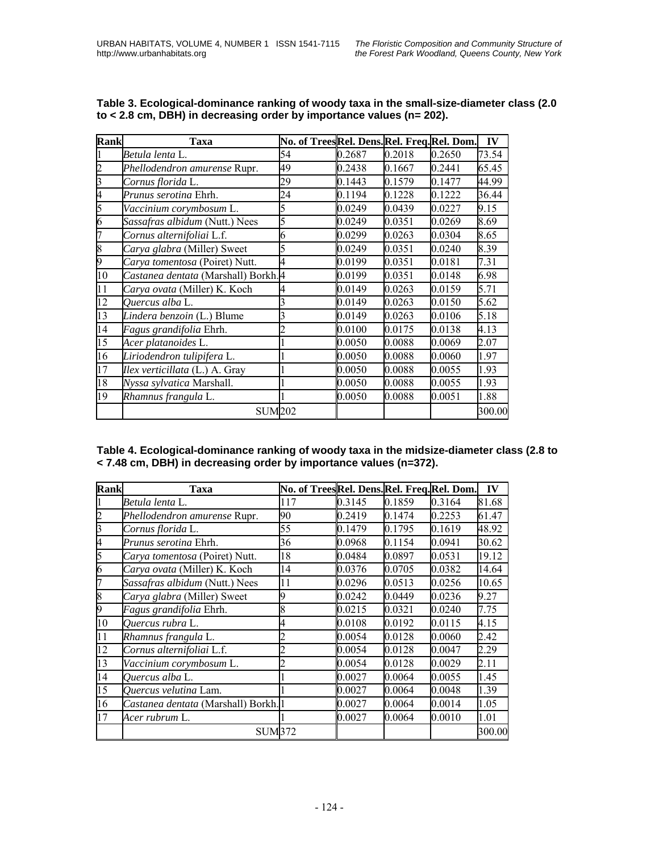| <b>Rank</b> | Taxa                                | No. of TreesRel. Dens.Rel. Freq.Rel. Dom. |        |        |        | IV     |
|-------------|-------------------------------------|-------------------------------------------|--------|--------|--------|--------|
|             | Betula lenta L.                     | 54                                        | 0.2687 | 0.2018 | 0.2650 | 73.54  |
|             | Phellodendron amurense Rupr.        | 49                                        | 0.2438 | 0.1667 | 0.2441 | 65.45  |
|             | Cornus florida L.                   | 29                                        | 0.1443 | 0.1579 | 0.1477 | 44.99  |
| 4           | Prunus serotina Ehrh.               | 24                                        | 0.1194 | 0.1228 | 0.1222 | 36.44  |
|             | Vaccinium corymbosum L.             | 5                                         | 0.0249 | 0.0439 | 0.0227 | 9.15   |
| 6           | Sassafras albidum (Nutt.) Nees      | 5                                         | 0.0249 | 0.0351 | 0.0269 | 8.69   |
|             | Cornus alternifoliai L.f.           | 6                                         | 0.0299 | 0.0263 | 0.0304 | 8.65   |
| 8           | Carya glabra (Miller) Sweet         | 5                                         | 0.0249 | 0.0351 | 0.0240 | 8.39   |
| 9           | Carya tomentosa (Poiret) Nutt.      | 4                                         | 0.0199 | 0.0351 | 0.0181 | 7.31   |
| 10          | Castanea dentata (Marshall) Borkh.4 |                                           | 0.0199 | 0.0351 | 0.0148 | 6.98   |
| 11          | Carya ovata (Miller) K. Koch        |                                           | 0.0149 | 0.0263 | 0.0159 | 5.71   |
| 12          | <i>Ouercus alba</i> L.              | 3                                         | 0.0149 | 0.0263 | 0.0150 | 5.62   |
| 13          | Lindera benzoin (L.) Blume          |                                           | 0.0149 | 0.0263 | 0.0106 | 5.18   |
| 14          | Fagus grandifolia Ehrh.             |                                           | 0.0100 | 0.0175 | 0.0138 | 4.13   |
| 15          | Acer platanoides L.                 |                                           | 0.0050 | 0.0088 | 0.0069 | 2.07   |
| 16          | Liriodendron tulipifera L.          |                                           | 0.0050 | 0.0088 | 0.0060 | 1.97   |
| 17          | Ilex verticillata (L.) A. Gray      |                                           | 0.0050 | 0.0088 | 0.0055 | 1.93   |
| 18          | Nyssa sylvatica Marshall.           |                                           | 0.0050 | 0.0088 | 0.0055 | 1.93   |
| 19          | Rhamnus frangula L.                 |                                           | 0.0050 | 0.0088 | 0.0051 | 1.88   |
|             | <b>SUM202</b>                       |                                           |        |        |        | 300.00 |

| Table 3. Ecological-dominance ranking of woody taxa in the small-size-diameter class (2.0 |
|-------------------------------------------------------------------------------------------|
| to < 2.8 cm, DBH) in decreasing order by importance values (n= 202).                      |

**Table 4. Ecological-dominance ranking of woody taxa in the midsize-diameter class (2.8 to < 7.48 cm, DBH) in decreasing order by importance values (n=372).** 

| <b>Rank</b> | Taxa                               | No. of TreesRel. Dens.Rel. Freq.Rel. Dom. |        |        |        | IV     |
|-------------|------------------------------------|-------------------------------------------|--------|--------|--------|--------|
|             | Betula lenta L.                    | 117                                       | 0.3145 | 0.1859 | 0.3164 | 81.68  |
| 2           | Phellodendron amurense Rupr.       | 90                                        | 0.2419 | 0.1474 | 0.2253 | 61.47  |
| 3           | Cornus florida L.                  | 55                                        | 0.1479 | 0.1795 | 0.1619 | 48.92  |
| 4           | Prunus serotina Ehrh.              | 36                                        | 0.0968 | 0.1154 | 0.0941 | 30.62  |
| 5           | Carya tomentosa (Poiret) Nutt.     | 18                                        | 0.0484 | 0.0897 | 0.0531 | 19.12  |
| 6           | Carya ovata (Miller) K. Koch       | 14                                        | 0.0376 | 0.0705 | 0.0382 | 14.64  |
| 7           | Sassafras albidum (Nutt.) Nees     | 11                                        | 0.0296 | 0.0513 | 0.0256 | 10.65  |
| 8           | Carya glabra (Miller) Sweet        |                                           | 0.0242 | 0.0449 | 0.0236 | 9.27   |
| 9           | Fagus grandifolia Ehrh.            | 8                                         | 0.0215 | 0.0321 | 0.0240 | 7.75   |
| 10          | Quercus rubra L.                   |                                           | 0.0108 | 0.0192 | 0.0115 | 4.15   |
| 11          | Rhamnus frangula L.                |                                           | 0.0054 | 0.0128 | 0.0060 | 2.42   |
| 12          | Cornus alternifoliai L.f.          |                                           | 0.0054 | 0.0128 | 0.0047 | 2.29   |
| 13          | Vaccinium corymbosum L.            |                                           | 0.0054 | 0.0128 | 0.0029 | 2.11   |
| 14          | Quercus alba L.                    |                                           | 0.0027 | 0.0064 | 0.0055 | 1.45   |
| 15          | Quercus velutina Lam.              |                                           | 0.0027 | 0.0064 | 0.0048 | 1.39   |
| 16          | Castanea dentata (Marshall) Borkh. |                                           | 0.0027 | 0.0064 | 0.0014 | 1.05   |
| 17          | Acer rubrum L.                     |                                           | 0.0027 | 0.0064 | 0.0010 | 1.01   |
|             | <b>SUM372</b>                      |                                           |        |        |        | 300.00 |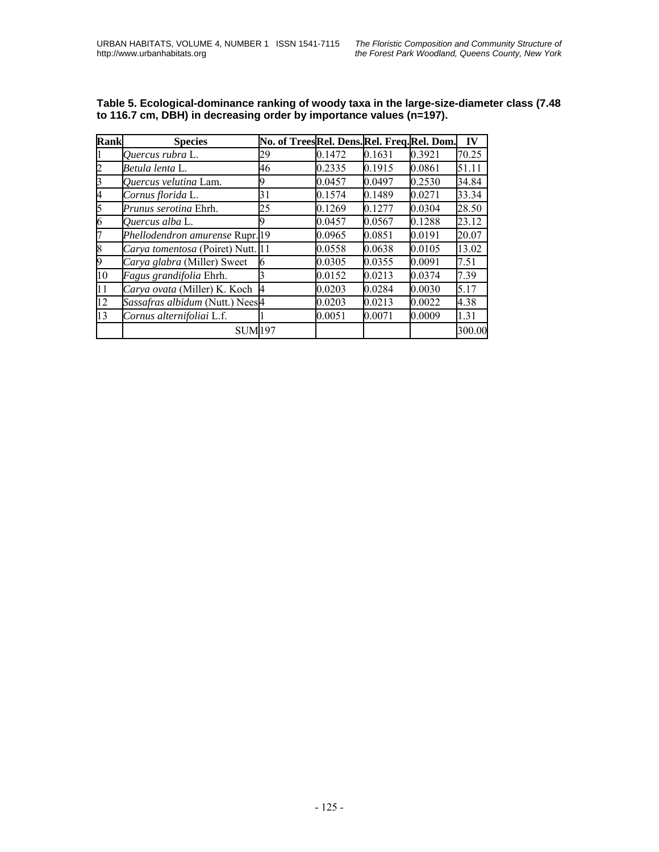| Rank | <b>Species</b>                    | No. of TreesRel. Dens.Rel. Freq.Rel. Dom. |        |        |        | IV     |
|------|-----------------------------------|-------------------------------------------|--------|--------|--------|--------|
|      | Quercus rubra L.                  | 29                                        | 0.1472 | 0.1631 | 0.3921 | 70.25  |
|      | Betula lenta L.                   | 46                                        | 0.2335 | 0.1915 | 0.0861 | 51.11  |
|      | Quercus velutina Lam.             |                                           | 0.0457 | 0.0497 | 0.2530 | 34.84  |
|      | Cornus florida L.                 | 31                                        | 0.1574 | 0.1489 | 0.0271 | 33.34  |
|      | Prunus serotina Ehrh.             | 25                                        | 0.1269 | 0.1277 | 0.0304 | 28.50  |
| h    | Quercus alba L.                   | 9                                         | 0.0457 | 0.0567 | 0.1288 | 23.12  |
|      | Phellodendron amurense Rupr.19    |                                           | 0.0965 | 0.0851 | 0.0191 | 20.07  |
|      | Carya tomentosa (Poiret) Nutt. 11 |                                           | 0.0558 | 0.0638 | 0.0105 | 13.02  |
|      | Carya glabra (Miller) Sweet       | 6                                         | 0.0305 | 0.0355 | 0.0091 | 7.51   |
| 10   | Fagus grandifolia Ehrh.           |                                           | 0.0152 | 0.0213 | 0.0374 | 7.39   |
| 11   | Carya ovata (Miller) K. Koch      |                                           | 0.0203 | 0.0284 | 0.0030 | 5.17   |
| 12   | Sassafras albidum (Nutt.) Nees4   |                                           | 0.0203 | 0.0213 | 0.0022 | 4.38   |
| 13   | Cornus alternifoliai L.f.         |                                           | 0.0051 | 0.0071 | 0.0009 | 1.31   |
|      | <b>SUM197</b>                     |                                           |        |        |        | 300.00 |

**Table 5. Ecological-dominance ranking of woody taxa in the large-size-diameter class (7.48 to 116.7 cm, DBH) in decreasing order by importance values (n=197).**